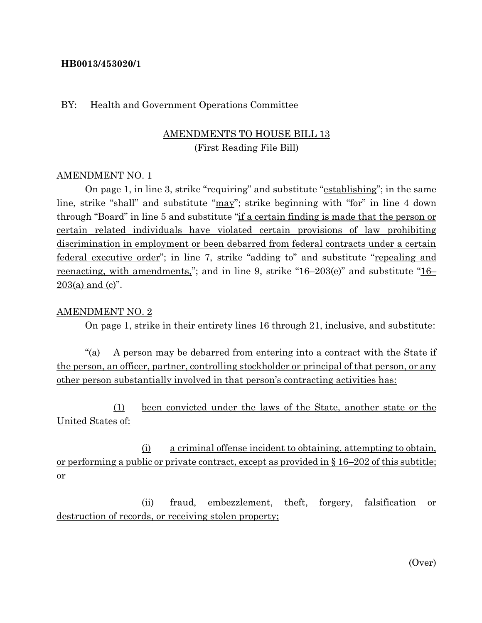#### **HB0013/453020/1**

#### BY: Health and Government Operations Committee

## AMENDMENTS TO HOUSE BILL 13 (First Reading File Bill)

#### AMENDMENT NO. 1

On page 1, in line 3, strike "requiring" and substitute "establishing"; in the same line, strike "shall" and substitute "may"; strike beginning with "for" in line 4 down through "Board" in line 5 and substitute "if a certain finding is made that the person or certain related individuals have violated certain provisions of law prohibiting discrimination in employment or been debarred from federal contracts under a certain federal executive order"; in line 7, strike "adding to" and substitute "repealing and reenacting, with amendments,"; and in line 9, strike "16–203(e)" and substitute "16–  $203(a)$  and (c)".

#### AMENDMENT NO. 2

On page 1, strike in their entirety lines 16 through 21, inclusive, and substitute:

"(a) A person may be debarred from entering into a contract with the State if the person, an officer, partner, controlling stockholder or principal of that person, or any other person substantially involved in that person's contracting activities has:

(1) been convicted under the laws of the State, another state or the United States of:

(i) a criminal offense incident to obtaining, attempting to obtain, or performing a public or private contract, except as provided in § 16–202 of this subtitle; or

(ii) fraud, embezzlement, theft, forgery, falsification or destruction of records, or receiving stolen property;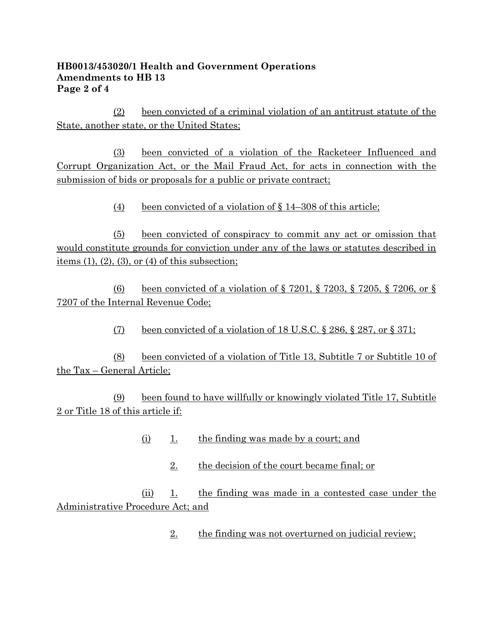### **HB0013/453020/1 Health and Government Operations Amendments to HB 13 Page 2 of 4**

(2) been convicted of a criminal violation of an antitrust statute of the State, another state, or the United States;

(3) been convicted of a violation of the Racketeer Influenced and Corrupt Organization Act, or the Mail Fraud Act, for acts in connection with the submission of bids or proposals for a public or private contract;

(4) been convicted of a violation of § 14–308 of this article;

(5) been convicted of conspiracy to commit any act or omission that would constitute grounds for conviction under any of the laws or statutes described in items  $(1)$ ,  $(2)$ ,  $(3)$ , or  $(4)$  of this subsection;

(6) been convicted of a violation of § 7201, § 7203, § 7205, § 7206, or § 7207 of the Internal Revenue Code;

(7) been convicted of a violation of  $18 \text{ U.S. C}$ ,  $8286$ ,  $8287$ , or  $8371$ ;

(8) been convicted of a violation of Title 13, Subtitle 7 or Subtitle 10 of the Tax – General Article;

(9) been found to have willfully or knowingly violated Title 17, Subtitle 2 or Title 18 of this article if:

- (i) 1. the finding was made by a court; and
	- 2. the decision of the court became final; or

(ii) 1. the finding was made in a contested case under the Administrative Procedure Act; and

2. the finding was not overturned on judicial review;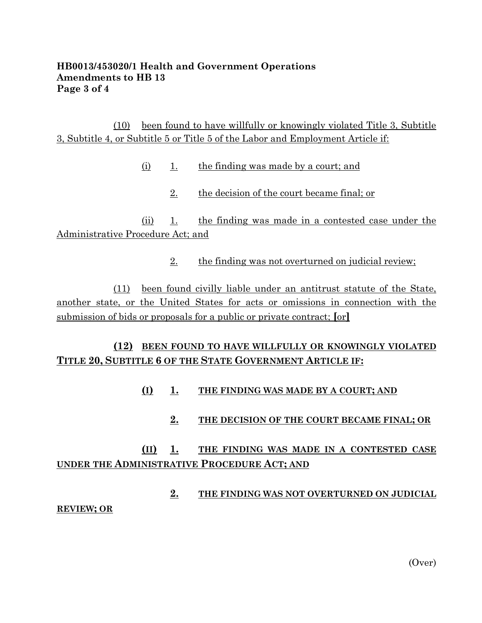#### **HB0013/453020/1 Health and Government Operations Amendments to HB 13 Page 3 of 4**

(10) been found to have willfully or knowingly violated Title 3, Subtitle 3, Subtitle 4, or Subtitle 5 or Title 5 of the Labor and Employment Article if:

- (i) 1. the finding was made by a court; and
	- 2. the decision of the court became final; or

(ii) 1. the finding was made in a contested case under the Administrative Procedure Act; and

2. the finding was not overturned on judicial review;

(11) been found civilly liable under an antitrust statute of the State, another state, or the United States for acts or omissions in connection with the submission of bids or proposals for a public or private contract; **[**or**]**

## **(12) BEEN FOUND TO HAVE WILLFULLY OR KNOWINGLY VIOLATED TITLE 20, SUBTITLE 6 OF THE STATE GOVERNMENT ARTICLE IF:**

**(I) 1. THE FINDING WAS MADE BY A COURT; AND**

## **2. THE DECISION OF THE COURT BECAME FINAL; OR**

## **(II) 1. THE FINDING WAS MADE IN A CONTESTED CASE UNDER THE ADMINISTRATIVE PROCEDURE ACT; AND**

**2. THE FINDING WAS NOT OVERTURNED ON JUDICIAL REVIEW; OR**

(Over)